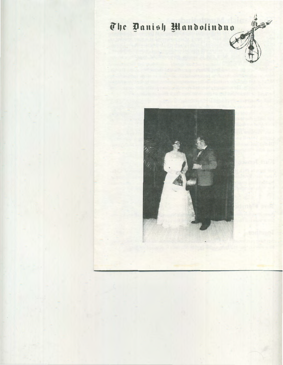# The Danish Mandolinduo

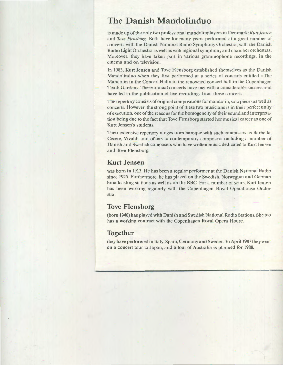## **The Danish Mandolinduo**

is made up of the only two professional mandolinplayers in Denmark: Kun *Jensen*  and *Tove Flensborg.* Both have for many years performed at a great number of concerts with the Danish National Radio Symphony Orchestra, with the Danish Radio Light Orchestra as well as with regional symphony and chamberorchestras. Moreover, they have taken part in various grammophone recordings, in the cinema and on television.

In 1983, Kurt Jensen and Tove Flensborg established themselves as the Danish Mandolinduo when they first performed at a series of concerts entitled »The Mandolin in the Concert Hall« in the renowned concert hall in the Copenhagen Tivoli Gardens. These annual concerts have met with a considerable success and have led to the publication of live recordings from these concerts.

The repertory consists of original compositions for mandolin, solo pieces as well as concerts. However, the strong point of these two musicians is in their perfect unity of execution, one of the reasons for the homogeneity of their sound and interpretation being due to the fact that Tove Flensborg started her musical career as one of Kurt Jensen's students.

Their extensive repertory ranges from baroque with such composers as Barbella, Cecere, Vivaldi and others to contemporary composers including a number of Danish and Swedish composers who have written music dedicated to Kurt Jensen and Tove Flensborg.

#### **Kurt Jensen**

was born in 1913. He has been a regular performer at the Danish National Radio since 1925. Furthermore, he has played on the Swedish, Norwegian and German broadcasting stations as well as on the BBC. For a number of years, Kurt Jensen has been working regularly with the Copenhagen Royal Operahouse Orchestra.

### **Tove Flensborg**

(born 1940) has played with Danish and Swedish National Radio Stations. She too has a working contract with the Copenhagen Royal Opera House.

## **Together**

they have performed in Italy, Spain, Germany and Sweden. In April 1987 they went on a concert tour to Japan, and a tour of Australia is planned for 1988.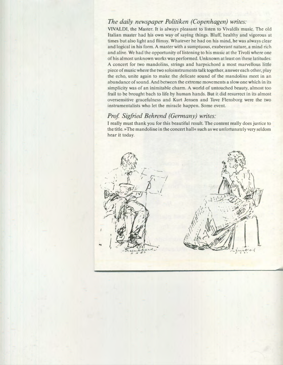#### *The daily newspaper Politiken (Copenhagen) writes:*

VIVALDI, the Master. It is always pleasant to listen to Vivaldis music. The old Italian master had his own way of saying things. Bluff, healthy and vigorous at times but also light and flimsy. Whatever he had on his mind, he was always clear and logical in his form. A master with a sumptuous, exuberant nature, a mind rich and alive. We had the opportunity of listening to his music at the Tivoli where one of his almost unknown works was performed. Unknown at least on these latitudes: A concert for two mandolins, strings and harpsichord a most marvellous little piece of music where the two soloinstruments talk together, answer each other, play the echo, unite again to make the delicate sound of the mandolins meet in an abundance of sound. And between the extreme movements a slow one which in its simplicity was of an inimitable charm. A world of untouched beauty, almost too frail to be brought bach to life by human hands. But it did resurrect in its almost oversensitive gracefulness and Kurt Jensen and Tove Flensborg were the two instrumentalists who let the miracle happen. Some event.

#### *Prof. Sigfried Behrend (Germany) writes:*

I really must thank you for this beautiful result. The content really does justice to the title.» The mandoline in the concert hall« such as we unfortunately very seldom hear it today.